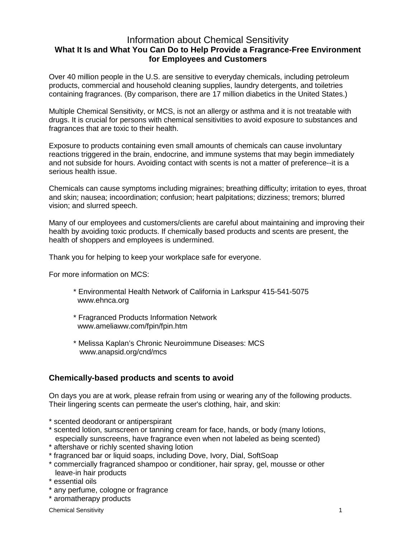## Information about Chemical Sensitivity **What It Is and What You Can Do to Help Provide a Fragrance-Free Environment for Employees and Customers**

Over 40 million people in the U.S. are sensitive to everyday chemicals, including petroleum products, commercial and household cleaning supplies, laundry detergents, and toiletries containing fragrances. (By comparison, there are 17 million diabetics in the United States.)

Multiple Chemical Sensitivity, or MCS, is not an allergy or asthma and it is not treatable with drugs. It is crucial for persons with chemical sensitivities to avoid exposure to substances and fragrances that are toxic to their health.

Exposure to products containing even small amounts of chemicals can cause involuntary reactions triggered in the brain, endocrine, and immune systems that may begin immediately and not subside for hours. Avoiding contact with scents is not a matter of preference--it is a serious health issue.

Chemicals can cause symptoms including migraines; breathing difficulty; irritation to eyes, throat and skin; nausea; incoordination; confusion; heart palpitations; dizziness; tremors; blurred vision; and slurred speech.

Many of our employees and customers/clients are careful about maintaining and improving their health by avoiding toxic products. If chemically based products and scents are present, the health of shoppers and employees is undermined.

Thank you for helping to keep your workplace safe for everyone.

For more information on MCS:

- \* Environmental Health Network of California in Larkspur 415-541-5075 www.ehnca.org
- \* Fragranced Products Information Network www.ameliaww.com/fpin/fpin.htm
- \* Melissa Kaplan's Chronic Neuroimmune Diseases: MCS www.anapsid.org/cnd/mcs

## **Chemically-based products and scents to avoid**

On days you are at work, please refrain from using or wearing any of the following products. Their lingering scents can permeate the user's clothing, hair, and skin:

- \* scented deodorant or antiperspirant
- \* scented lotion, sunscreen or tanning cream for face, hands, or body (many lotions, especially sunscreens, have fragrance even when not labeled as being scented)
- \* aftershave or richly scented shaving lotion
- \* fragranced bar or liquid soaps, including Dove, Ivory, Dial, SoftSoap
- \* commercially fragranced shampoo or conditioner, hair spray, gel, mousse or other leave-in hair products
- \* essential oils
- \* any perfume, cologne or fragrance
- \* aromatherapy products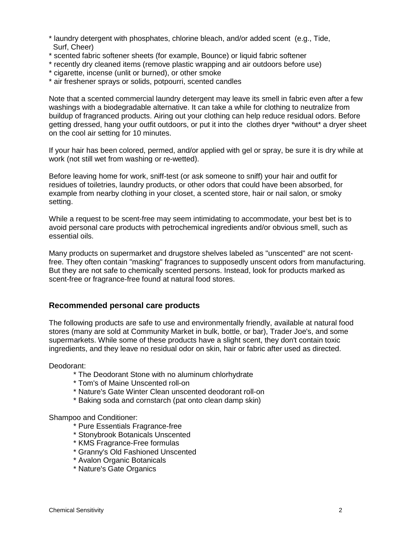- \* laundry detergent with phosphates, chlorine bleach, and/or added scent (e.g., Tide, Surf, Cheer)
- \* scented fabric softener sheets (for example, Bounce) or liquid fabric softener
- \* recently dry cleaned items (remove plastic wrapping and air outdoors before use)
- \* cigarette, incense (unlit or burned), or other smoke
- \* air freshener sprays or solids, potpourri, scented candles

Note that a scented commercial laundry detergent may leave its smell in fabric even after a few washings with a biodegradable alternative. It can take a while for clothing to neutralize from buildup of fragranced products. Airing out your clothing can help reduce residual odors. Before getting dressed, hang your outfit outdoors, or put it into the clothes dryer \*without\* a dryer sheet on the cool air setting for 10 minutes.

If your hair has been colored, permed, and/or applied with gel or spray, be sure it is dry while at work (not still wet from washing or re-wetted).

Before leaving home for work, sniff-test (or ask someone to sniff) your hair and outfit for residues of toiletries, laundry products, or other odors that could have been absorbed, for example from nearby clothing in your closet, a scented store, hair or nail salon, or smoky setting.

While a request to be scent-free may seem intimidating to accommodate, your best bet is to avoid personal care products with petrochemical ingredients and/or obvious smell, such as essential oils.

Many products on supermarket and drugstore shelves labeled as "unscented" are not scentfree. They often contain "masking" fragrances to supposedly unscent odors from manufacturing. But they are not safe to chemically scented persons. Instead, look for products marked as scent-free or fragrance-free found at natural food stores.

## **Recommended personal care products**

The following products are safe to use and environmentally friendly, available at natural food stores (many are sold at Community Market in bulk, bottle, or bar), Trader Joe's, and some supermarkets. While some of these products have a slight scent, they don't contain toxic ingredients, and they leave no residual odor on skin, hair or fabric after used as directed.

Deodorant:

- \* The Deodorant Stone with no aluminum chlorhydrate
- \* Tom's of Maine Unscented roll-on
- \* Nature's Gate Winter Clean unscented deodorant roll-on
- \* Baking soda and cornstarch (pat onto clean damp skin)

Shampoo and Conditioner:

- \* Pure Essentials Fragrance-free
- \* Stonybrook Botanicals Unscented
- \* KMS Fragrance-Free formulas
- \* Granny's Old Fashioned Unscented
- \* Avalon Organic Botanicals
- \* Nature's Gate Organics